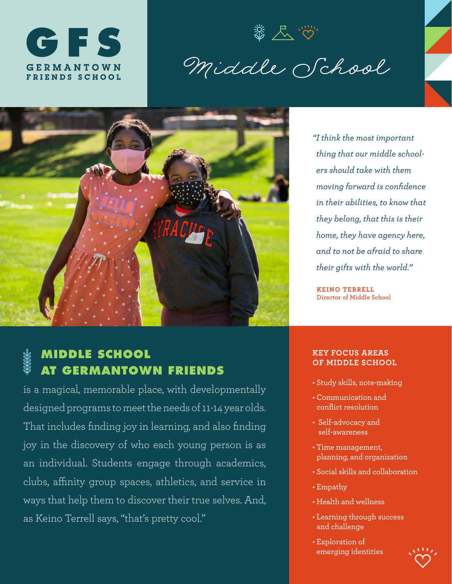

3 人心

Middle School



**MIDDLE SCHOOL AT GERMANTOWN FRIENDS** 

is a magical, memorable place, with developmentally designed programs to meet the needs of 11-14 year olds. That includes finding joy in learning, and also finding joy in the discovery of who each young person is as an individual. Students engage through academics, clubs, affinity group spaces, athletics, and service in ways that help them to discover their true selves. And, as Keino Terrell says, "that's pretty cool."

*"I think the most important thing that our middle schoolers should take with them moving forward is confidence in their abilities, to know that they belong, that this is their home, they have agency here, and to not be afraid to share their gifts with the world."*

**KEINO TERRELL Director of Middle School** 

## **KEY FOCUS AREAS OF MIDDLE SCHOOL**

- Study skills, note-making
- Communication and conflict resolution
- Self-advocacy and self-awareness
- Time management, planning, and organization
- Social skills and collaboration
- Empathy
- Health and wellness
- Learning through success and challenge
- Exploration of emerging identities